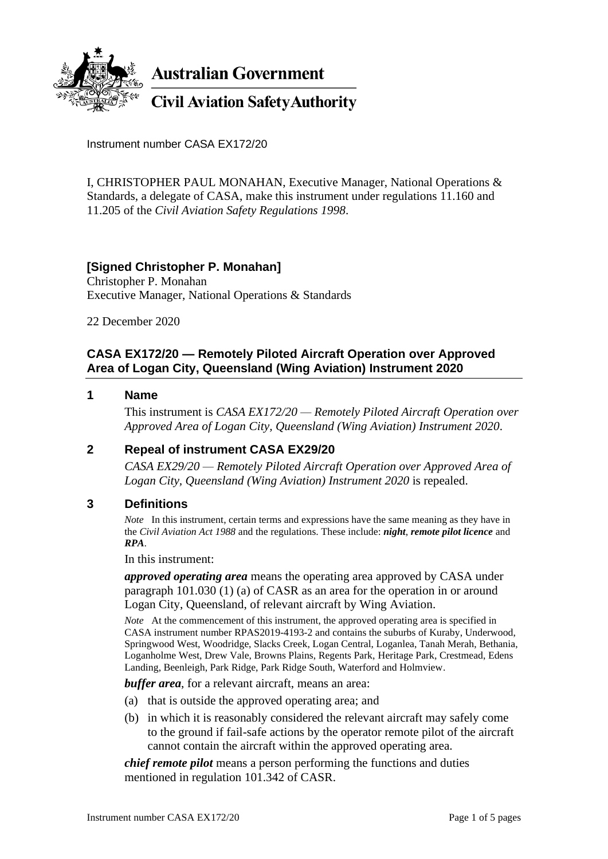

**Australian Government** 

**Civil Aviation Safety Authority** 

Instrument number CASA EX172/20

I, CHRISTOPHER PAUL MONAHAN, Executive Manager, National Operations & Standards, a delegate of CASA, make this instrument under regulations 11.160 and 11.205 of the *Civil Aviation Safety Regulations 1998*.

# **[Signed Christopher P. Monahan]**

Christopher P. Monahan Executive Manager, National Operations & Standards

22 December 2020

# **CASA EX172/20 — Remotely Piloted Aircraft Operation over Approved Area of Logan City, Queensland (Wing Aviation) Instrument 2020**

#### **1 Name**

This instrument is *CASA EX172/20 — Remotely Piloted Aircraft Operation over Approved Area of Logan City, Queensland (Wing Aviation) Instrument 2020*.

## **2 Repeal of instrument CASA EX29/20**

*CASA EX29/20 — Remotely Piloted Aircraft Operation over Approved Area of Logan City, Queensland (Wing Aviation) Instrument 2020* is repealed.

#### **3 Definitions**

*Note* In this instrument, certain terms and expressions have the same meaning as they have in the *Civil Aviation Act 1988* and the regulations. These include: *night*, *remote pilot licence* and *RPA*.

In this instrument:

*approved operating area* means the operating area approved by CASA under paragraph 101.030 (1) (a) of CASR as an area for the operation in or around Logan City, Queensland, of relevant aircraft by Wing Aviation.

*Note* At the commencement of this instrument, the approved operating area is specified in CASA instrument number RPAS2019-4193-2 and contains the suburbs of Kuraby, Underwood, Springwood West, Woodridge, Slacks Creek, Logan Central, Loganlea, Tanah Merah, Bethania, Loganholme West, Drew Vale, Browns Plains, Regents Park, Heritage Park, Crestmead, Edens Landing, Beenleigh, Park Ridge, Park Ridge South, Waterford and Holmview.

*buffer area*, for a relevant aircraft, means an area:

- (a) that is outside the approved operating area; and
- (b) in which it is reasonably considered the relevant aircraft may safely come to the ground if fail-safe actions by the operator remote pilot of the aircraft cannot contain the aircraft within the approved operating area.

*chief remote pilot* means a person performing the functions and duties mentioned in regulation 101.342 of CASR.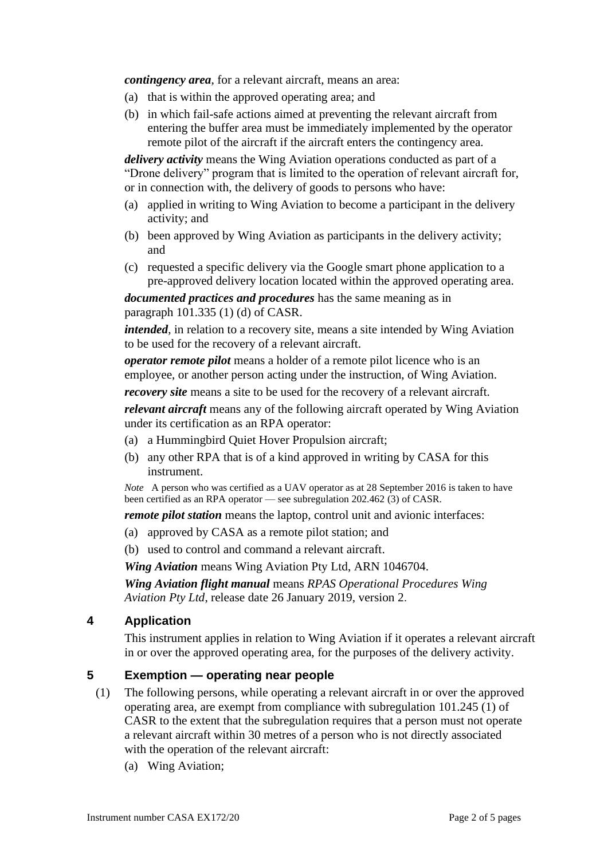*contingency area*, for a relevant aircraft, means an area:

- (a) that is within the approved operating area; and
- (b) in which fail-safe actions aimed at preventing the relevant aircraft from entering the buffer area must be immediately implemented by the operator remote pilot of the aircraft if the aircraft enters the contingency area.

*delivery activity* means the Wing Aviation operations conducted as part of a "Drone delivery" program that is limited to the operation of relevant aircraft for, or in connection with, the delivery of goods to persons who have:

- (a) applied in writing to Wing Aviation to become a participant in the delivery activity; and
- (b) been approved by Wing Aviation as participants in the delivery activity; and
- (c) requested a specific delivery via the Google smart phone application to a pre-approved delivery location located within the approved operating area.

*documented practices and procedures* has the same meaning as in paragraph 101.335 (1) (d) of CASR.

*intended*, in relation to a recovery site, means a site intended by Wing Aviation to be used for the recovery of a relevant aircraft.

*operator remote pilot* means a holder of a remote pilot licence who is an employee, or another person acting under the instruction, of Wing Aviation.

*recovery site* means a site to be used for the recovery of a relevant aircraft.

*relevant aircraft* means any of the following aircraft operated by Wing Aviation under its certification as an RPA operator:

- (a) a Hummingbird Quiet Hover Propulsion aircraft;
- (b) any other RPA that is of a kind approved in writing by CASA for this instrument.

*Note* A person who was certified as a UAV operator as at 28 September 2016 is taken to have been certified as an RPA operator — see subregulation 202.462 (3) of CASR.

*remote pilot station* means the laptop, control unit and avionic interfaces:

- (a) approved by CASA as a remote pilot station; and
- (b) used to control and command a relevant aircraft.

*Wing Aviation* means Wing Aviation Pty Ltd, ARN 1046704.

*Wing Aviation flight manual* means *RPAS Operational Procedures Wing Aviation Pty Ltd*, release date 26 January 2019, version 2.

### **4 Application**

This instrument applies in relation to Wing Aviation if it operates a relevant aircraft in or over the approved operating area, for the purposes of the delivery activity.

### **5 Exemption — operating near people**

- (1) The following persons, while operating a relevant aircraft in or over the approved operating area, are exempt from compliance with subregulation 101.245 (1) of CASR to the extent that the subregulation requires that a person must not operate a relevant aircraft within 30 metres of a person who is not directly associated with the operation of the relevant aircraft:
	- (a) Wing Aviation;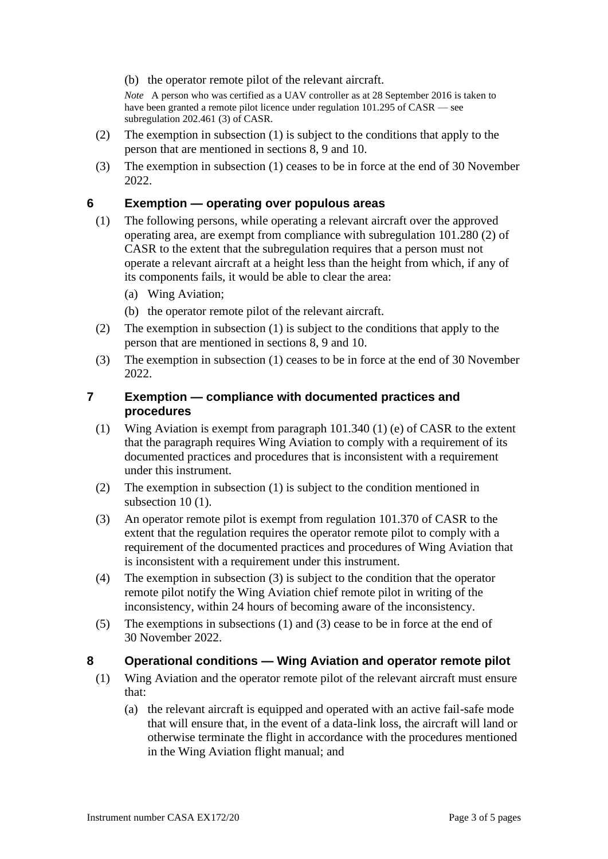(b) the operator remote pilot of the relevant aircraft.

*Note* A person who was certified as a UAV controller as at 28 September 2016 is taken to have been granted a remote pilot licence under regulation 101.295 of CASR — see subregulation 202.461 (3) of CASR.

- (2) The exemption in subsection (1) is subject to the conditions that apply to the person that are mentioned in sections 8, 9 and 10.
- (3) The exemption in subsection (1) ceases to be in force at the end of 30 November 2022.

## **6 Exemption — operating over populous areas**

- (1) The following persons, while operating a relevant aircraft over the approved operating area, are exempt from compliance with subregulation 101.280 (2) of CASR to the extent that the subregulation requires that a person must not operate a relevant aircraft at a height less than the height from which, if any of its components fails, it would be able to clear the area:
	- (a) Wing Aviation;
	- (b) the operator remote pilot of the relevant aircraft.
- (2) The exemption in subsection (1) is subject to the conditions that apply to the person that are mentioned in sections 8, 9 and 10.
- (3) The exemption in subsection (1) ceases to be in force at the end of 30 November 2022.

### **7 Exemption — compliance with documented practices and procedures**

- (1) Wing Aviation is exempt from paragraph 101.340 (1) (e) of CASR to the extent that the paragraph requires Wing Aviation to comply with a requirement of its documented practices and procedures that is inconsistent with a requirement under this instrument.
- (2) The exemption in subsection (1) is subject to the condition mentioned in subsection 10 (1).
- (3) An operator remote pilot is exempt from regulation 101.370 of CASR to the extent that the regulation requires the operator remote pilot to comply with a requirement of the documented practices and procedures of Wing Aviation that is inconsistent with a requirement under this instrument.
- (4) The exemption in subsection (3) is subject to the condition that the operator remote pilot notify the Wing Aviation chief remote pilot in writing of the inconsistency, within 24 hours of becoming aware of the inconsistency.
- (5) The exemptions in subsections (1) and (3) cease to be in force at the end of 30 November 2022.

## **8 Operational conditions — Wing Aviation and operator remote pilot**

- (1) Wing Aviation and the operator remote pilot of the relevant aircraft must ensure that:
	- (a) the relevant aircraft is equipped and operated with an active fail-safe mode that will ensure that, in the event of a data-link loss, the aircraft will land or otherwise terminate the flight in accordance with the procedures mentioned in the Wing Aviation flight manual; and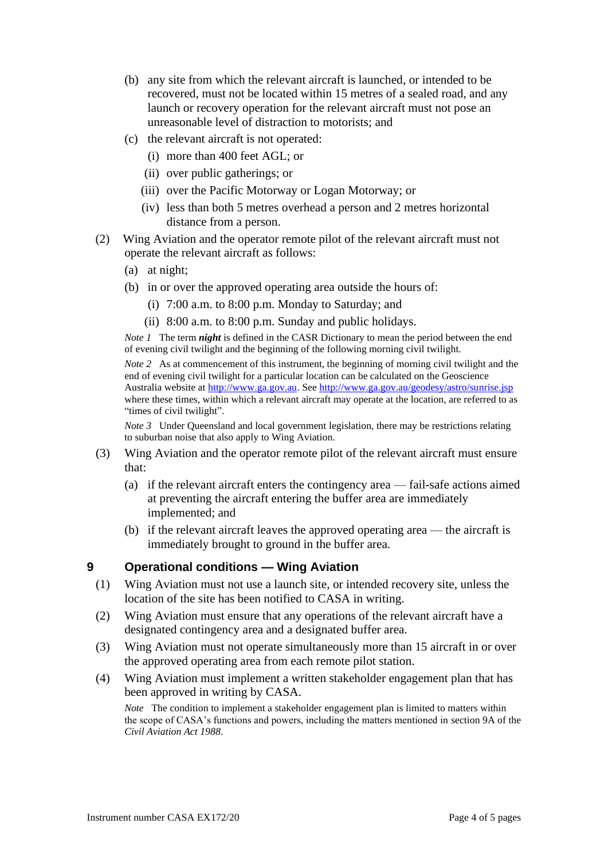- (b) any site from which the relevant aircraft is launched, or intended to be recovered, must not be located within 15 metres of a sealed road, and any launch or recovery operation for the relevant aircraft must not pose an unreasonable level of distraction to motorists; and
- (c) the relevant aircraft is not operated:
	- (i) more than 400 feet AGL; or
	- (ii) over public gatherings; or
	- (iii) over the Pacific Motorway or Logan Motorway; or
	- (iv) less than both 5 metres overhead a person and 2 metres horizontal distance from a person.
- (2) Wing Aviation and the operator remote pilot of the relevant aircraft must not operate the relevant aircraft as follows:
	- (a) at night;
	- (b) in or over the approved operating area outside the hours of:
		- (i) 7:00 a.m. to 8:00 p.m. Monday to Saturday; and
		- (ii) 8:00 a.m. to 8:00 p.m. Sunday and public holidays.

*Note 1* The term *night* is defined in the CASR Dictionary to mean the period between the end of evening civil twilight and the beginning of the following morning civil twilight.

*Note* 2 As at commencement of this instrument, the beginning of morning civil twilight and the end of evening civil twilight for a particular location can be calculated on the Geoscience Australia website at [http://www.ga.gov.au.](http://www.ga.gov.au/) See <http://www.ga.gov.au/geodesy/astro/sunrise.jsp> where these times, within which a relevant aircraft may operate at the location, are referred to as "times of civil twilight".

*Note 3* Under Queensland and local government legislation, there may be restrictions relating to suburban noise that also apply to Wing Aviation.

- (3) Wing Aviation and the operator remote pilot of the relevant aircraft must ensure that:
	- (a) if the relevant aircraft enters the contingency area fail-safe actions aimed at preventing the aircraft entering the buffer area are immediately implemented; and
	- (b) if the relevant aircraft leaves the approved operating area the aircraft is immediately brought to ground in the buffer area.

## **9 Operational conditions — Wing Aviation**

- (1) Wing Aviation must not use a launch site, or intended recovery site, unless the location of the site has been notified to CASA in writing.
- (2) Wing Aviation must ensure that any operations of the relevant aircraft have a designated contingency area and a designated buffer area.
- (3) Wing Aviation must not operate simultaneously more than 15 aircraft in or over the approved operating area from each remote pilot station.
- (4) Wing Aviation must implement a written stakeholder engagement plan that has been approved in writing by CASA.

*Note* The condition to implement a stakeholder engagement plan is limited to matters within the scope of CASA's functions and powers, including the matters mentioned in section 9A of the *Civil Aviation Act 1988*.